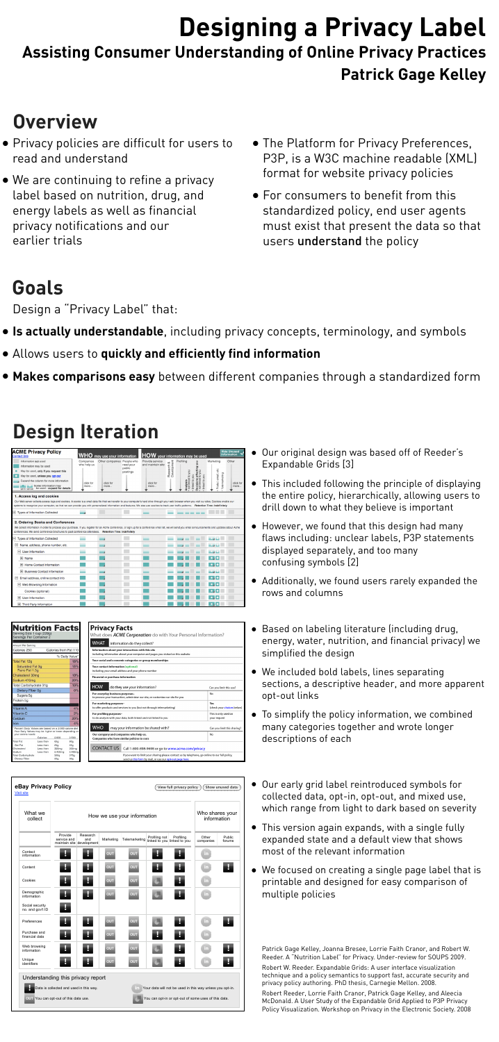# **Designing a Privacy Label Assisting Consumer Understanding of Online Privacy Practices Patrick Gage Kelley**

- Privacy policies are difficult for users to read and understand
- We are continuing to refine a privacy label based on nutrition, drug, and energy labels as well as financial privacy notifications and our earlier trials
- The Platform for Privacy Preferences, P3P, is a W3C machine readable (XML) format for website privacy policies
- For consumers to benefit from this standardized policy, end user agents must exist that present the data so that users understand the policy



N<br>Serv<br>Serv

### **Overview**

### **Design Iteration**

| <b>ACME Privacy Policy</b><br><b>Contact Site</b>                                                                                                                                                                                                                                                                                                                                                                               | WHO                                           | may use your information                        |                                 | HOW your information may be used                          |                               |                                                               |                                                                       |                                                          | <b>Hide Unused</b><br>Information |
|---------------------------------------------------------------------------------------------------------------------------------------------------------------------------------------------------------------------------------------------------------------------------------------------------------------------------------------------------------------------------------------------------------------------------------|-----------------------------------------------|-------------------------------------------------|---------------------------------|-----------------------------------------------------------|-------------------------------|---------------------------------------------------------------|-----------------------------------------------------------------------|----------------------------------------------------------|-----------------------------------|
| Information not used<br>Information may be used<br>May be used, only if you request this<br>May be used, unless you opt-out<br>Expand the column for more information<br>Some information may<br>opt-in opt-out be used - expand for details                                                                                                                                                                                    | Companies<br>who help us<br>click for<br>more | Other companies People who<br>click for<br>more | read your<br>public<br>postings | Provide service<br>and maintain site<br>click for<br>more | Development<br>οð<br>Research | Profiling<br>Analysis<br>• not linked to you<br>linked to you | non<br>Decisions affecting<br>• not linked to you<br>no Aon<br>linked | Marketing<br>elc.<br>Telemarketing<br>ernail,<br>Postal, | Other<br>click for<br>more        |
| 1. Access log and cookies<br>Our Web server collects access logs and cookies. A cookie is a small data file that we transfer to your computer's hard drive through your web browser when you visit our sites. Cookies enable our<br>systems to recognize your computer, so that we can provide you with personalized information and features. We also use cookies to track user traffic patterns. Retention Time: Indefinitely |                                               |                                                 |                                 |                                                           |                               |                                                               |                                                                       |                                                          |                                   |
| Types of Information Collected                                                                                                                                                                                                                                                                                                                                                                                                  |                                               |                                                 |                                 |                                                           |                               |                                                               |                                                                       |                                                          |                                   |
| 2. Ordering Books and Conferences<br>We collect information in order to process your purchase. If you register for an Acme conference, or sign up for a conference email list, we will send you email announcements and updates about Acme<br>conferences. We send conference brochures to past conference attendees. Retention Time: Indefinitely<br>□ Types of Information Collected                                          |                                               |                                                 |                                 |                                                           |                               |                                                               |                                                                       | <b>KUNG</b>                                              |                                   |
| $\Box$ Name, address, phone number, etc.                                                                                                                                                                                                                                                                                                                                                                                        |                                               |                                                 |                                 |                                                           |                               |                                                               |                                                                       |                                                          |                                   |
| $\Box$ User Information                                                                                                                                                                                                                                                                                                                                                                                                         |                                               |                                                 |                                 |                                                           |                               |                                                               |                                                                       |                                                          |                                   |
| <b>H</b> Name                                                                                                                                                                                                                                                                                                                                                                                                                   |                                               |                                                 |                                 |                                                           |                               |                                                               |                                                                       |                                                          |                                   |
| Home Contact Information                                                                                                                                                                                                                                                                                                                                                                                                        |                                               |                                                 |                                 |                                                           |                               |                                                               |                                                                       | $\bullet$ . $\bullet$                                    |                                   |
| <b>E</b> Business Contact Information                                                                                                                                                                                                                                                                                                                                                                                           |                                               |                                                 |                                 |                                                           |                               |                                                               |                                                                       |                                                          |                                   |
| $\Box$ Email address, online contact info                                                                                                                                                                                                                                                                                                                                                                                       |                                               |                                                 |                                 |                                                           |                               |                                                               |                                                                       |                                                          |                                   |
| □ Web Browsing Information                                                                                                                                                                                                                                                                                                                                                                                                      |                                               |                                                 |                                 |                                                           |                               |                                                               |                                                                       |                                                          |                                   |
| Cookies (optional)                                                                                                                                                                                                                                                                                                                                                                                                              |                                               |                                                 |                                 |                                                           |                               |                                                               |                                                                       |                                                          |                                   |
| Ŧ<br>User Information                                                                                                                                                                                                                                                                                                                                                                                                           |                                               |                                                 |                                 |                                                           |                               |                                                               |                                                                       | $\bullet$<br>o                                           |                                   |
| <b>Third Party Information</b>                                                                                                                                                                                                                                                                                                                                                                                                  |                                               |                                                 |                                 |                                                           |                               |                                                               |                                                                       | $\bullet$ , $\bullet$                                    |                                   |

- Our original design was based off of Reeder's Expandable Grids [3]
- This included following the principle of displaying the entire policy, hierarchically, allowing users to drill down to what they believe is important
- However, we found that this design had many flaws including: unclear labels, P3P statements displayed separately, and too many confusing symbols [2]

| <b>Nutrition Facts</b><br>Serving Size 1 cup (228g)                                                              |                      |                       |                                                                                  | <b>Privacy Facts</b>                                                                                                                  |                             |  |  |  |  |
|------------------------------------------------------------------------------------------------------------------|----------------------|-----------------------|----------------------------------------------------------------------------------|---------------------------------------------------------------------------------------------------------------------------------------|-----------------------------|--|--|--|--|
| Servings Per Container 2                                                                                         |                      |                       |                                                                                  | What does <i>ACME Corporation</i> do with Your Personal Information?                                                                  |                             |  |  |  |  |
|                                                                                                                  |                      |                       |                                                                                  | <b>WHAT</b><br>information do they collect?                                                                                           |                             |  |  |  |  |
| Amount Per Serving                                                                                               |                      |                       |                                                                                  |                                                                                                                                       |                             |  |  |  |  |
| Calories 250                                                                                                     |                      | Calories from Fat 110 |                                                                                  | Information about your interactions with this site<br>including information about your computer and pages you visited on this website |                             |  |  |  |  |
|                                                                                                                  |                      |                       | % Daily Value*                                                                   | Your social and economic categories or group memberships                                                                              |                             |  |  |  |  |
|                                                                                                                  | Total Fat 12g<br>18% |                       |                                                                                  |                                                                                                                                       |                             |  |  |  |  |
| Saturated Fat 3g                                                                                                 |                      |                       | 15%                                                                              | Your contact information (optional)                                                                                                   |                             |  |  |  |  |
| Trans Fat 1.5g                                                                                                   |                      |                       |                                                                                  | including your email address and your phone number                                                                                    |                             |  |  |  |  |
| 10%<br>Cholesterol 30mg                                                                                          |                      |                       |                                                                                  | Financial or purchase information                                                                                                     |                             |  |  |  |  |
| Sodium 470mg                                                                                                     |                      |                       | 20%                                                                              |                                                                                                                                       |                             |  |  |  |  |
| Total Carbohydrate 31g                                                                                           |                      | 10%                   | <b>HOW</b><br>do they use your information?                                      | Can you limit this use?                                                                                                               |                             |  |  |  |  |
| Dietary Fiber Og                                                                                                 |                      | 0%                    |                                                                                  |                                                                                                                                       |                             |  |  |  |  |
| Sugars 5g                                                                                                        |                      |                       |                                                                                  | For everyday business purposes-<br>to process your transaction, administer our site, or customize our site for you                    | No                          |  |  |  |  |
| Protein 5g                                                                                                       |                      |                       |                                                                                  |                                                                                                                                       |                             |  |  |  |  |
|                                                                                                                  |                      |                       | For marketing purposes-                                                          | Yes                                                                                                                                   |                             |  |  |  |  |
| Vitamin A                                                                                                        |                      | 4%                    | to offer products and services to you (but not through telemarketing)            | (check your choices below)                                                                                                            |                             |  |  |  |  |
| Vitamin C                                                                                                        |                      | 2%                    | For profiling purposes-                                                          | This is only used on                                                                                                                  |                             |  |  |  |  |
| Calcium                                                                                                          |                      | 20%                   | to do analysis with your data, both linked and not linked to you<br>your request |                                                                                                                                       |                             |  |  |  |  |
| iron.                                                                                                            |                      |                       | 4%                                                                               |                                                                                                                                       |                             |  |  |  |  |
| Percent Daily Values are based on a 2,000 calorie diet.<br>Your Daily Values may be higher or lower depending on |                      |                       |                                                                                  | <b>WHO</b><br>may your information be shared with?                                                                                    | Can you limit this sharing? |  |  |  |  |
| your calorie needs:                                                                                              | Calories:            | 2.000                 | 2,500                                                                            | Our company and companies who help us.                                                                                                | No                          |  |  |  |  |
| Total Fat                                                                                                        | Less than            | 65 <sub>0</sub>       | 80g                                                                              | Companies who have similar policies to ours                                                                                           |                             |  |  |  |  |
| Sat Fat                                                                                                          | Less than            | 20 <sub>0</sub>       | 25g                                                                              |                                                                                                                                       |                             |  |  |  |  |
| Cholesterol                                                                                                      | Less than            | 300mg                 | 300mg                                                                            | <b>CONTACT US</b><br>Call 1-800-898-9698 or go to www.acme.com/privacy                                                                |                             |  |  |  |  |
| Sodium<br>Total Carbohydrate                                                                                     | Less than            | 2,400mg<br>300g       | 2,400mg<br>375 <sub>q</sub>                                                      | If you want to limit your sharing please contact us by telephone, go online to our full policy,                                       |                             |  |  |  |  |
| Dietary Fiber<br>250<br>30g                                                                                      |                      |                       |                                                                                  | send us this form by mail, or use our opt-out page here.                                                                              |                             |  |  |  |  |

| What we<br>collect                  |                        | How we use your information                  |            |               |               |                                          |                    |                  |
|-------------------------------------|------------------------|----------------------------------------------|------------|---------------|---------------|------------------------------------------|--------------------|------------------|
|                                     | Provide<br>service and | Research<br>and<br>maintain site development | Marketing  | Telemarketing | Profiling not | Profiling<br>linked to you linked to you | Other<br>companies | Public<br>forums |
| Contact<br>information              | о                      | U                                            | <b>OUT</b> | <b>OUT</b>    | U             | U                                        | in.                |                  |
| Content                             | Н                      | $\mathbf{J}$                                 | <b>OUT</b> | <b>OUT</b>    | <b>A</b>      | Į.                                       | in.                | Į.               |
| Cookies                             | U                      | Į.                                           | <b>OUT</b> | <b>OUT</b>    | Œ             | Į,                                       | in.                |                  |
| Demographic<br>information          | Į.                     | Į.                                           | <b>OUT</b> | <b>OUT</b>    |               | Į.                                       | in.                |                  |
| Social security<br>no. and gov't ID |                        |                                              |            |               |               |                                          |                    |                  |
| Preferences                         |                        |                                              | <b>OUT</b> | <b>OUT</b>    |               |                                          | in.                |                  |
| Purchase and<br>financial data      |                        | y                                            | <b>OUT</b> | <b>OUT</b>    | Ы             |                                          | in                 |                  |
| Web browsing<br>information         |                        | ō.                                           | <b>OUT</b> | <b>OUT</b>    |               | ь.                                       | in.                | и                |
| Unique<br>identifiers               |                        |                                              | <b>OUT</b> | <b>OUT</b>    |               |                                          | in.                |                  |
| Understanding this privacy report   |                        |                                              |            |               |               |                                          |                    |                  |

- Additionally, we found users rarely expanded the rows and columns
- Based on labeling literature (including drug, energy, water, nutrition, and financial privacy) we simplified the design
- We included bold labels, lines separating sections, a descriptive header, and more apparent opt-out links
- To simplify the policy information, we combined many categories together and wrote longer descriptions of each
- Our early grid label reintroduced symbols for collected data, opt-in, opt-out, and mixed use, which range from light to dark based on severity
- This version again expands, with a single fully expanded state and a default view that shows

most of the relevant information

• We focused on creating a single page label that is printable and designed for easy comparison of multiple policies

### **Goals**

Design a "Privacy Label" that:

- **Is actually understandable**, including privacy concepts, terminology, and symbols
- Allows users to **quickly and efficiently find information**
- **Makes comparisons easy** between different companies through a standardized form

Patrick Gage Kelley, Joanna Bresee, Lorrie Faith Cranor, and Robert W. Reeder. A "Nutrition Label" for Privacy. Under-review for SOUPS 2009.

Robert W. Reeder. Expandable Grids: A user interface visualization technique and a policy semantics to support fast, accurate security and privacy policy authoring. PhD thesis, Carnegie Mellon. 2008.

Robert Reeder, Lorrie Faith Cranor, Patrick Gage Kelley, and Aleecia McDonald. A User Study of the Expandable Grid Applied to P3P Privacy Policy Visualization. Workshop on Privacy in the Electronic Society. 2008